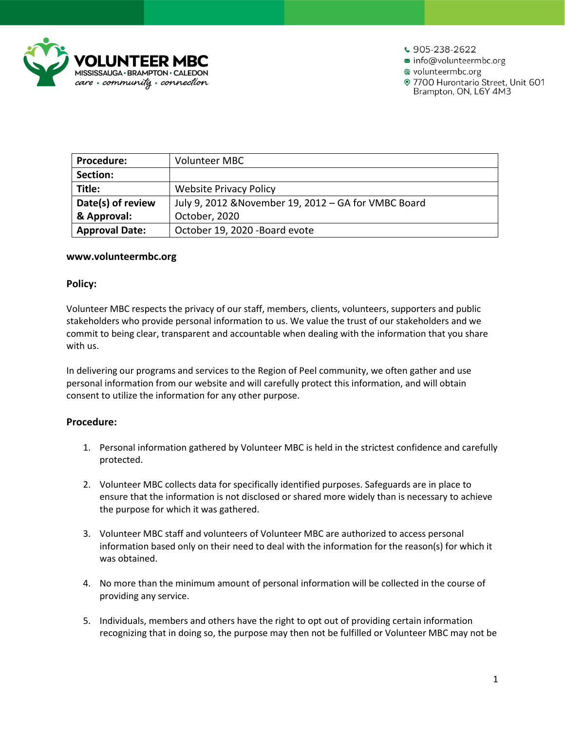

 $\frac{1}{2}$  905-238-2622

■ info@volunteermbc.org

wolunteermbc.org

· 7700 Hurontario Street, Unit 601 Brampton, ON, L6Y 4M3

| <b>Procedure:</b>     | Volunteer MBC                                        |
|-----------------------|------------------------------------------------------|
| Section:              |                                                      |
| Title:                | <b>Website Privacy Policy</b>                        |
| Date(s) of review     | July 9, 2012 & November 19, 2012 - GA for VMBC Board |
| & Approval:           | October, 2020                                        |
| <b>Approval Date:</b> | October 19, 2020 - Board evote                       |

#### **www.volunteermbc.org**

#### **Policy:**

Volunteer MBC respects the privacy of our staff, members, clients, volunteers, supporters and public stakeholders who provide personal information to us. We value the trust of our stakeholders and we commit to being clear, transparent and accountable when dealing with the information that you share with us.

In delivering our programs and services to the Region of Peel community, we often gather and use personal information from our website and will carefully protect this information, and will obtain consent to utilize the information for any other purpose.

#### **Procedure:**

- 1. Personal information gathered by Volunteer MBC is held in the strictest confidence and carefully protected.
- 2. Volunteer MBC collects data for specifically identified purposes. Safeguards are in place to ensure that the information is not disclosed or shared more widely than is necessary to achieve the purpose for which it was gathered.
- 3. Volunteer MBC staff and volunteers of Volunteer MBC are authorized to access personal information based only on their need to deal with the information for the reason(s) for which it was obtained.
- 4. No more than the minimum amount of personal information will be collected in the course of providing any service.
- 5. Individuals, members and others have the right to opt out of providing certain information recognizing that in doing so, the purpose may then not be fulfilled or Volunteer MBC may not be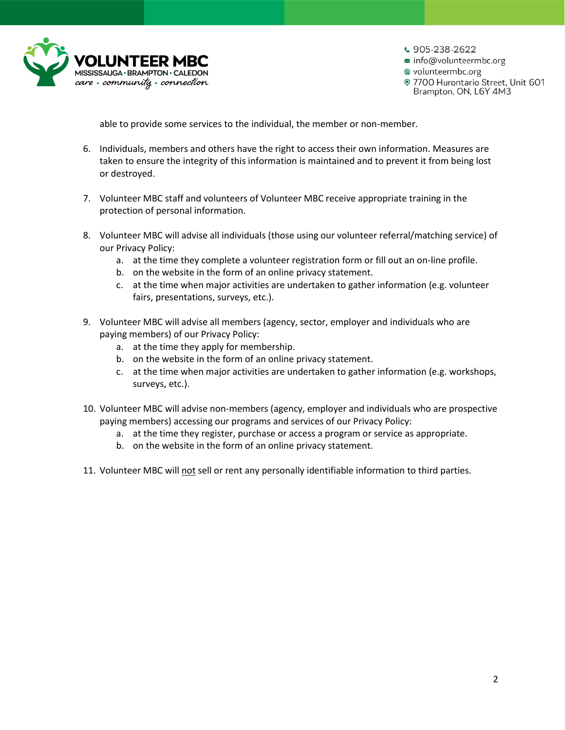

 $\frac{1}{2}$  905-238-2622 ■ info@volunteermbc.org wolunteermbc.org · 7700 Hurontario Street, Unit 601 Brampton, ON, L6Y 4M3

able to provide some services to the individual, the member or non-member.

- 6. Individuals, members and others have the right to access their own information. Measures are taken to ensure the integrity of this information is maintained and to prevent it from being lost or destroyed.
- 7. Volunteer MBC staff and volunteers of Volunteer MBC receive appropriate training in the protection of personal information.
- 8. Volunteer MBC will advise all individuals (those using our volunteer referral/matching service) of our Privacy Policy:
	- a. at the time they complete a volunteer registration form or fill out an on-line profile.
	- b. on the website in the form of an online privacy statement.
	- c. at the time when major activities are undertaken to gather information (e.g. volunteer fairs, presentations, surveys, etc.).
- 9. Volunteer MBC will advise all members (agency, sector, employer and individuals who are paying members) of our Privacy Policy:
	- a. at the time they apply for membership.
	- b. on the website in the form of an online privacy statement.
	- c. at the time when major activities are undertaken to gather information (e.g. workshops, surveys, etc.).
- 10. Volunteer MBC will advise non-members (agency, employer and individuals who are prospective paying members) accessing our programs and services of our Privacy Policy:
	- a. at the time they register, purchase or access a program or service as appropriate.
	- b. on the website in the form of an online privacy statement.
- 11. Volunteer MBC will not sell or rent any personally identifiable information to third parties.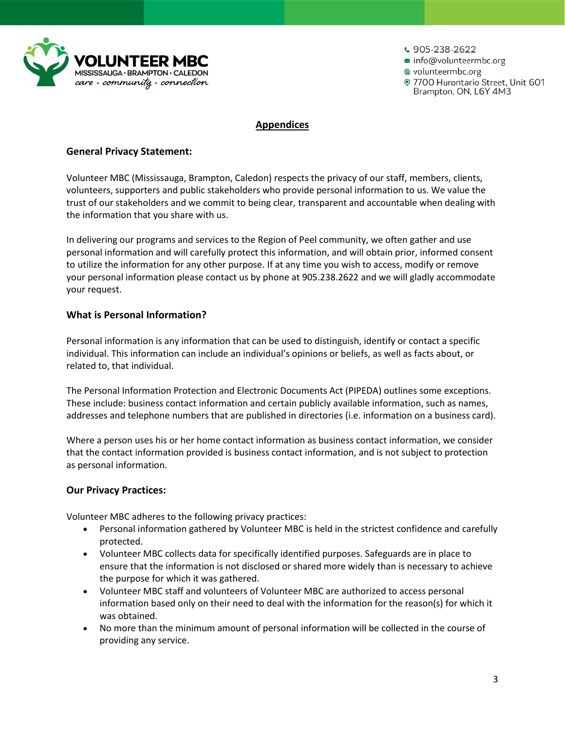

 $\frac{1}{2}$  905-238-2622 ■ info@volunteermbc.org **● volunteermbc.org** · 7700 Hurontario Street, Unit 601 Brampton, ON, L6Y 4M3

### **Appendices**

## **General Privacy Statement:**

Volunteer MBC (Mississauga, Brampton, Caledon) respects the privacy of our staff, members, clients, volunteers, supporters and public stakeholders who provide personal information to us. We value the trust of our stakeholders and we commit to being clear, transparent and accountable when dealing with the information that you share with us.

In delivering our programs and services to the Region of Peel community, we often gather and use personal information and will carefully protect this information, and will obtain prior, informed consent to utilize the information for any other purpose. If at any time you wish to access, modify or remove your personal information please contact us by phone at 905.238.2622 and we will gladly accommodate your request.

# **What is Personal Information?**

Personal information is any information that can be used to distinguish, identify or contact a specific individual. This information can include an individual's opinions or beliefs, as well as facts about, or related to, that individual.

The Personal Information Protection and Electronic Documents Act (PIPEDA) outlines some exceptions. These include: business contact information and certain publicly available information, such as names, addresses and telephone numbers that are published in directories (i.e. information on a business card).

Where a person uses his or her home contact information as business contact information, we consider that the contact information provided is business contact information, and is not subject to protection as personal information.

#### **Our Privacy Practices:**

Volunteer MBC adheres to the following privacy practices:

- Personal information gathered by Volunteer MBC is held in the strictest confidence and carefully protected.
- Volunteer MBC collects data for specifically identified purposes. Safeguards are in place to ensure that the information is not disclosed or shared more widely than is necessary to achieve the purpose for which it was gathered.
- Volunteer MBC staff and volunteers of Volunteer MBC are authorized to access personal information based only on their need to deal with the information for the reason(s) for which it was obtained.
- No more than the minimum amount of personal information will be collected in the course of providing any service.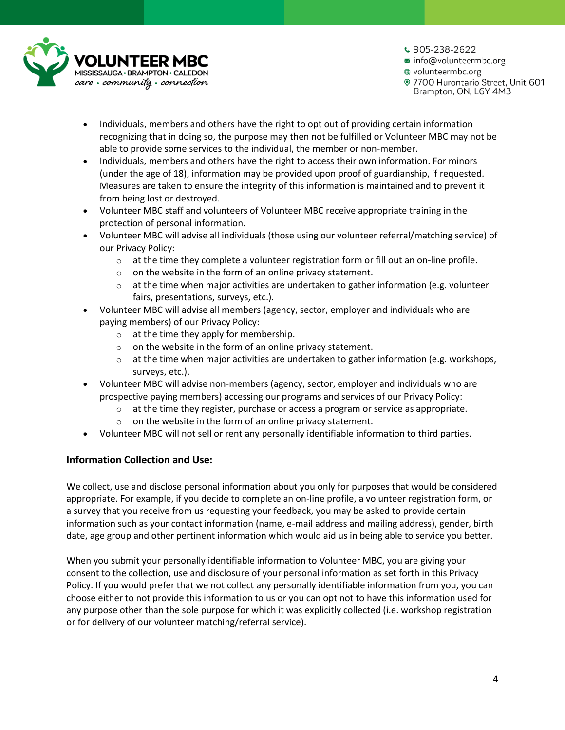

 $\cdot$  905-238-2622

■ info@volunteermbc.org

**● volunteermbc.org** 

· 7700 Hurontario Street, Unit 601 Brampton, ON, L6Y 4M3

- Individuals, members and others have the right to opt out of providing certain information recognizing that in doing so, the purpose may then not be fulfilled or Volunteer MBC may not be able to provide some services to the individual, the member or non-member.
- Individuals, members and others have the right to access their own information. For minors (under the age of 18), information may be provided upon proof of guardianship, if requested. Measures are taken to ensure the integrity of this information is maintained and to prevent it from being lost or destroyed.
- Volunteer MBC staff and volunteers of Volunteer MBC receive appropriate training in the protection of personal information.
- Volunteer MBC will advise all individuals (those using our volunteer referral/matching service) of our Privacy Policy:
	- $\circ$  at the time they complete a volunteer registration form or fill out an on-line profile.
	- $\circ$  on the website in the form of an online privacy statement.
	- $\circ$  at the time when major activities are undertaken to gather information (e.g. volunteer fairs, presentations, surveys, etc.).
- Volunteer MBC will advise all members (agency, sector, employer and individuals who are paying members) of our Privacy Policy:
	- o at the time they apply for membership.
	- o on the website in the form of an online privacy statement.
	- $\circ$  at the time when major activities are undertaken to gather information (e.g. workshops, surveys, etc.).
- Volunteer MBC will advise non-members (agency, sector, employer and individuals who are prospective paying members) accessing our programs and services of our Privacy Policy:
	- $\circ$  at the time they register, purchase or access a program or service as appropriate.
	- $\circ$  on the website in the form of an online privacy statement.
- Volunteer MBC will not sell or rent any personally identifiable information to third parties.

## **Information Collection and Use:**

We collect, use and disclose personal information about you only for purposes that would be considered appropriate. For example, if you decide to complete an on-line profile, a volunteer registration form, or a survey that you receive from us requesting your feedback, you may be asked to provide certain information such as your contact information (name, e-mail address and mailing address), gender, birth date, age group and other pertinent information which would aid us in being able to service you better.

When you submit your personally identifiable information to Volunteer MBC, you are giving your consent to the collection, use and disclosure of your personal information as set forth in this Privacy Policy. If you would prefer that we not collect any personally identifiable information from you, you can choose either to not provide this information to us or you can opt not to have this information used for any purpose other than the sole purpose for which it was explicitly collected (i.e. workshop registration or for delivery of our volunteer matching/referral service).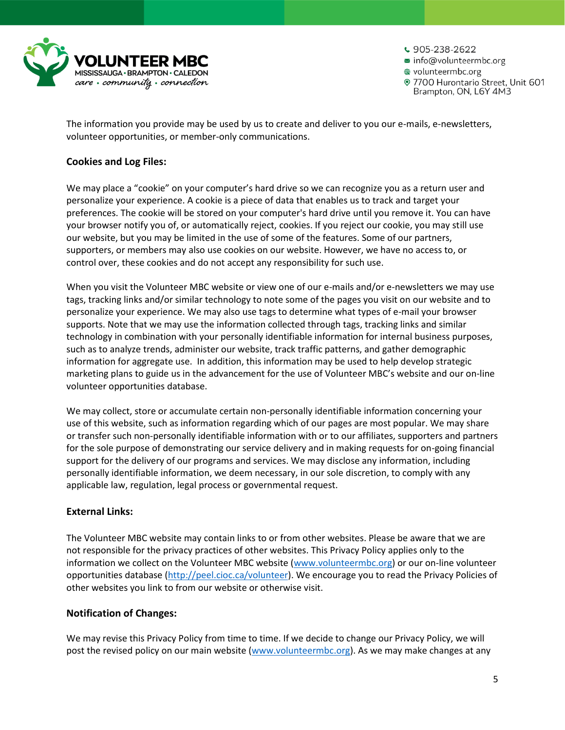

- $\cdot$  905-238-2622
- info@volunteermbc.org
- **volunteermbc.org**

· 7700 Hurontario Street, Unit 601 Brampton, ON, L6Y 4M3

The information you provide may be used by us to create and deliver to you our e-mails, e-newsletters, volunteer opportunities, or member-only communications.

## **Cookies and Log Files:**

We may place a "cookie" on your computer's hard drive so we can recognize you as a return user and personalize your experience. A cookie is a piece of data that enables us to track and target your preferences. The cookie will be stored on your computer's hard drive until you remove it. You can have your browser notify you of, or automatically reject, cookies. If you reject our cookie, you may still use our website, but you may be limited in the use of some of the features. Some of our partners, supporters, or members may also use cookies on our website. However, we have no access to, or control over, these cookies and do not accept any responsibility for such use.

When you visit the Volunteer MBC website or view one of our e-mails and/or e-newsletters we may use tags, tracking links and/or similar technology to note some of the pages you visit on our website and to personalize your experience. We may also use tags to determine what types of e-mail your browser supports. Note that we may use the information collected through tags, tracking links and similar technology in combination with your personally identifiable information for internal business purposes, such as to analyze trends, administer our website, track traffic patterns, and gather demographic information for aggregate use. In addition, this information may be used to help develop strategic marketing plans to guide us in the advancement for the use of Volunteer MBC's website and our on-line volunteer opportunities database.

We may collect, store or accumulate certain non-personally identifiable information concerning your use of this website, such as information regarding which of our pages are most popular. We may share or transfer such non-personally identifiable information with or to our affiliates, supporters and partners for the sole purpose of demonstrating our service delivery and in making requests for on-going financial support for the delivery of our programs and services. We may disclose any information, including personally identifiable information, we deem necessary, in our sole discretion, to comply with any applicable law, regulation, legal process or governmental request.

## **External Links:**

The Volunteer MBC website may contain links to or from other websites. Please be aware that we are not responsible for the privacy practices of other websites. This Privacy Policy applies only to the information we collect on the Volunteer MBC website [\(www.volunteermbc.org\)](http://www.volunteermbc.org/) or our on-line volunteer opportunities database [\(http://peel.cioc.ca/volunteer\)](http://peel.cioc.ca/volunteer). We encourage you to read the Privacy Policies of other websites you link to from our website or otherwise visit.

## **Notification of Changes:**

We may revise this Privacy Policy from time to time. If we decide to change our Privacy Policy, we will post the revised policy on our main website [\(www.volunteermbc.org\)](http://www.volunteermbc.org/). As we may make changes at any